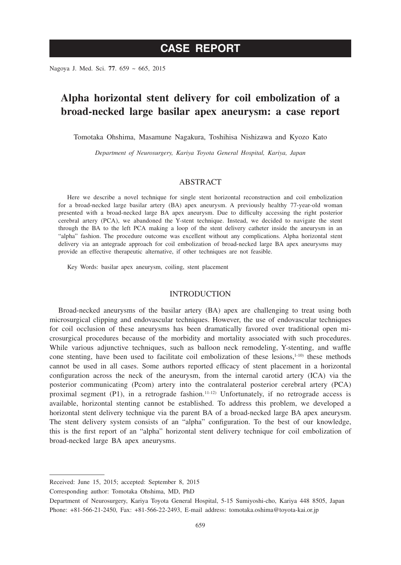# **CASE REPORT**

Nagoya J. Med. Sci. **77**. 659 ~ 665, 2015

## **Alpha horizontal stent delivery for coil embolization of a broad-necked large basilar apex aneurysm: a case report**

Tomotaka Ohshima, Masamune Nagakura, Toshihisa Nishizawa and Kyozo Kato

*Department of Neurosurgery, Kariya Toyota General Hospital, Kariya, Japan*

#### ABSTRACT

Here we describe a novel technique for single stent horizontal reconstruction and coil embolization for a broad-necked large basilar artery (BA) apex aneurysm. A previously healthy 77-year-old woman presented with a broad-necked large BA apex aneurysm. Due to difficulty accessing the right posterior cerebral artery (PCA), we abandoned the Y-stent technique. Instead, we decided to navigate the stent through the BA to the left PCA making a loop of the stent delivery catheter inside the aneurysm in an "alpha" fashion. The procedure outcome was excellent without any complications. Alpha horizontal stent delivery via an antegrade approach for coil embolization of broad-necked large BA apex aneurysms may provide an effective therapeutic alternative, if other techniques are not feasible.

Key Words: basilar apex aneurysm, coiling, stent placement

#### INTRODUCTION

Broad-necked aneurysms of the basilar artery (BA) apex are challenging to treat using both microsurgical clipping and endovascular techniques. However, the use of endovascular techniques for coil occlusion of these aneurysms has been dramatically favored over traditional open microsurgical procedures because of the morbidity and mortality associated with such procedures. While various adjunctive techniques, such as balloon neck remodeling, Y-stenting, and waffle cone stenting, have been used to facilitate coil embolization of these lesions, $1-10$  these methods cannot be used in all cases. Some authors reported efficacy of stent placement in a horizontal configuration across the neck of the aneurysm, from the internal carotid artery (ICA) via the posterior communicating (Pcom) artery into the contralateral posterior cerebral artery (PCA) proximal segment  $(P1)$ , in a retrograde fashion.<sup>11-12)</sup> Unfortunately, if no retrograde access is available, horizontal stenting cannot be established. To address this problem, we developed a horizontal stent delivery technique via the parent BA of a broad-necked large BA apex aneurysm. The stent delivery system consists of an "alpha" configuration. To the best of our knowledge, this is the first report of an "alpha" horizontal stent delivery technique for coil embolization of broad-necked large BA apex aneurysms.

Corresponding author: Tomotaka Ohshima, MD, PhD

Received: June 15, 2015; accepted: September 8, 2015

Department of Neurosurgery, Kariya Toyota General Hospital, 5-15 Sumiyoshi-cho, Kariya 448 8505, Japan Phone: +81-566-21-2450, Fax: +81-566-22-2493, E-mail address: tomotaka.oshima@toyota-kai.or.jp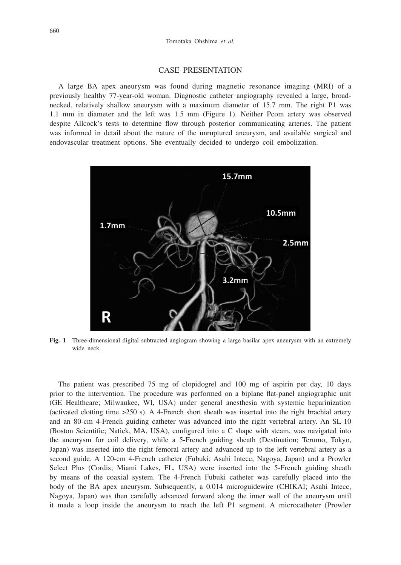#### CASE PRESENTATION

A large BA apex aneurysm was found during magnetic resonance imaging (MRI) of a previously healthy 77-year-old woman. Diagnostic catheter angiography revealed a large, broadnecked, relatively shallow aneurysm with a maximum diameter of 15.7 mm. The right P1 was 1.1 mm in diameter and the left was 1.5 mm (Figure 1). Neither Pcom artery was observed despite Allcock's tests to determine flow through posterior communicating arteries. The patient was informed in detail about the nature of the unruptured aneurysm, and available surgical and endovascular treatment options. She eventually decided to undergo coil embolization.



**Fig. 1** Three-dimensional digital subtracted angiogram showing a large basilar apex aneurysm with an extremely wide neck.

The patient was prescribed 75 mg of clopidogrel and 100 mg of aspirin per day, 10 days prior to the intervention. The procedure was performed on a biplane flat-panel angiographic unit (GE Healthcare; Milwaukee, WI, USA) under general anesthesia with systemic heparinization (activated clotting time >250 s). A 4-French short sheath was inserted into the right brachial artery and an 80-cm 4-French guiding catheter was advanced into the right vertebral artery. An SL-10 (Boston Scientific; Natick, MA, USA), configured into a C shape with steam, was navigated into the aneurysm for coil delivery, while a 5-French guiding sheath (Destination; Terumo, Tokyo, Japan) was inserted into the right femoral artery and advanced up to the left vertebral artery as a second guide. A 120-cm 4-French catheter (Fubuki; Asahi Intecc, Nagoya, Japan) and a Prowler Select Plus (Cordis; Miami Lakes, FL, USA) were inserted into the 5-French guiding sheath by means of the coaxial system. The 4-French Fubuki catheter was carefully placed into the body of the BA apex aneurysm. Subsequently, a 0.014 microguidewire (CHIKAI; Asahi Intecc, Nagoya, Japan) was then carefully advanced forward along the inner wall of the aneurysm until it made a loop inside the aneurysm to reach the left P1 segment. A microcatheter (Prowler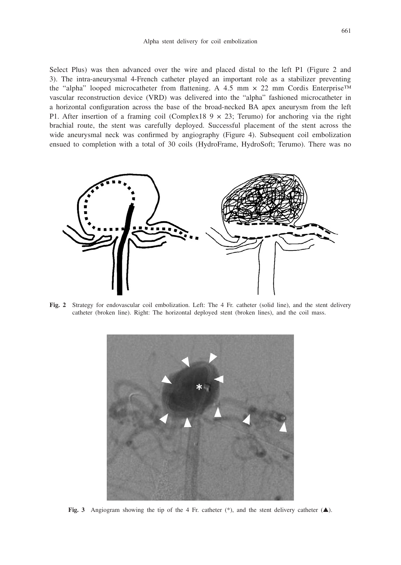Select Plus) was then advanced over the wire and placed distal to the left P1 (Figure 2 and 3). The intra-aneurysmal 4-French catheter played an important role as a stabilizer preventing the "alpha" looped microcatheter from flattening. A 4.5 mm × 22 mm Cordis Enterprise™ vascular reconstruction device (VRD) was delivered into the "alpha" fashioned microcatheter in a horizontal configuration across the base of the broad-necked BA apex aneurysm from the left P1. After insertion of a framing coil (Complex18  $9 \times 23$ ; Terumo) for anchoring via the right brachial route, the stent was carefully deployed. Successful placement of the stent across the wide aneurysmal neck was confirmed by angiography (Figure 4). Subsequent coil embolization ensued to completion with a total of 30 coils (HydroFrame, HydroSoft; Terumo). There was no



**Fig. 2** Strategy for endovascular coil embolization. Left: The 4 Fr. catheter (solid line), and the stent delivery catheter (broken line). Right: The horizontal deployed stent (broken lines), and the coil mass.



**Fig. 3** Angiogram showing the tip of the 4 Fr. catheter  $(*)$ , and the stent delivery catheter  $(\triangle)$ .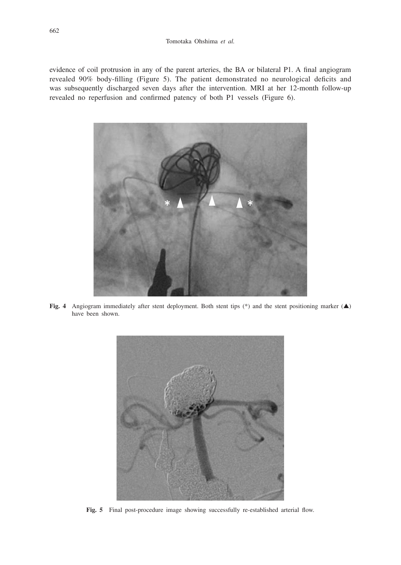evidence of coil protrusion in any of the parent arteries, the BA or bilateral P1. A final angiogram revealed 90% body-filling (Figure 5). The patient demonstrated no neurological deficits and was subsequently discharged seven days after the intervention. MRI at her 12-month follow-up revealed no reperfusion and confirmed patency of both P1 vessels (Figure 6).



**Fig. 4** Angiogram immediately after stent deployment. Both stent tips (\*) and the stent positioning marker (▲) have been shown.



Fig. 5 Final post-procedure image showing successfully re-established arterial flow.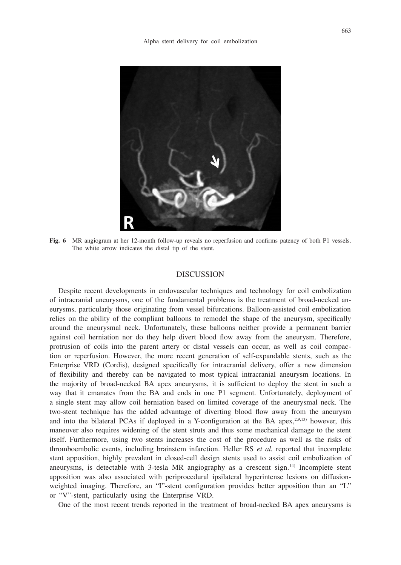

**Fig. 6** MR angiogram at her 12-month follow-up reveals no reperfusion and confirms patency of both P1 vessels. The white arrow indicates the distal tip of the stent.

## **DISCUSSION**

Despite recent developments in endovascular techniques and technology for coil embolization of intracranial aneurysms, one of the fundamental problems is the treatment of broad-necked aneurysms, particularly those originating from vessel bifurcations. Balloon-assisted coil embolization relies on the ability of the compliant balloons to remodel the shape of the aneurysm, specifically around the aneurysmal neck. Unfortunately, these balloons neither provide a permanent barrier against coil herniation nor do they help divert blood flow away from the aneurysm. Therefore, protrusion of coils into the parent artery or distal vessels can occur, as well as coil compaction or reperfusion. However, the more recent generation of self-expandable stents, such as the Enterprise VRD (Cordis), designed specifically for intracranial delivery, offer a new dimension of flexibility and thereby can be navigated to most typical intracranial aneurysm locations. In the majority of broad-necked BA apex aneurysms, it is sufficient to deploy the stent in such a way that it emanates from the BA and ends in one P1 segment. Unfortunately, deployment of a single stent may allow coil herniation based on limited coverage of the aneurysmal neck. The two-stent technique has the added advantage of diverting blood flow away from the aneurysm and into the bilateral PCAs if deployed in a Y-configuration at the BA apex,<sup>2,9,13)</sup> however, this maneuver also requires widening of the stent struts and thus some mechanical damage to the stent itself. Furthermore, using two stents increases the cost of the procedure as well as the risks of thromboembolic events, including brainstem infarction. Heller RS *et al.* reported that incomplete stent apposition, highly prevalent in closed-cell design stents used to assist coil embolization of aneurysms, is detectable with 3-tesla MR angiography as a crescent sign.14) Incomplete stent apposition was also associated with periprocedural ipsilateral hyperintense lesions on diffusionweighted imaging. Therefore, an "I"-stent configuration provides better apposition than an "L" or "V"-stent, particularly using the Enterprise VRD.

One of the most recent trends reported in the treatment of broad-necked BA apex aneurysms is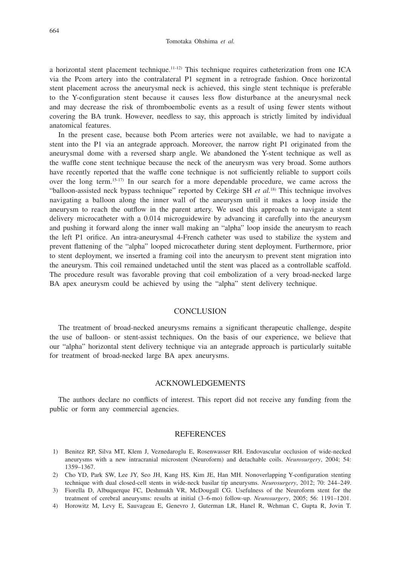a horizontal stent placement technique.11-12) This technique requires catheterization from one ICA via the Pcom artery into the contralateral P1 segment in a retrograde fashion. Once horizontal stent placement across the aneurysmal neck is achieved, this single stent technique is preferable to the Y-configuration stent because it causes less flow disturbance at the aneurysmal neck and may decrease the risk of thromboembolic events as a result of using fewer stents without covering the BA trunk. However, needless to say, this approach is strictly limited by individual anatomical features.

In the present case, because both Pcom arteries were not available, we had to navigate a stent into the P1 via an antegrade approach. Moreover, the narrow right P1 originated from the aneurysmal dome with a reversed sharp angle. We abandoned the Y-stent technique as well as the waffle cone stent technique because the neck of the aneurysm was very broad. Some authors have recently reported that the waffle cone technique is not sufficiently reliable to support coils over the long term.15-17) In our search for a more dependable procedure, we came across the "balloon-assisted neck bypass technique" reported by Cekirge SH *et al.*18) This technique involves navigating a balloon along the inner wall of the aneurysm until it makes a loop inside the aneurysm to reach the outflow in the parent artery. We used this approach to navigate a stent delivery microcatheter with a 0.014 microguidewire by advancing it carefully into the aneurysm and pushing it forward along the inner wall making an "alpha" loop inside the aneurysm to reach the left P1 orifice. An intra-aneurysmal 4-French catheter was used to stabilize the system and prevent flattening of the "alpha" looped microcatheter during stent deployment. Furthermore, prior to stent deployment, we inserted a framing coil into the aneurysm to prevent stent migration into the aneurysm. This coil remained undetached until the stent was placed as a controllable scaffold. The procedure result was favorable proving that coil embolization of a very broad-necked large BA apex aneurysm could be achieved by using the "alpha" stent delivery technique.

## **CONCLUSION**

The treatment of broad-necked aneurysms remains a significant therapeutic challenge, despite the use of balloon- or stent-assist techniques. On the basis of our experience, we believe that our "alpha" horizontal stent delivery technique via an antegrade approach is particularly suitable for treatment of broad-necked large BA apex aneurysms.

## ACKNOWLEDGEMENTS

The authors declare no conflicts of interest. This report did not receive any funding from the public or form any commercial agencies.

#### REFERENCES

- 1) Benitez RP, Silva MT, Klem J, Veznedaroglu E, Rosenwasser RH. Endovascular occlusion of wide-necked aneurysms with a new intracranial microstent (Neuroform) and detachable coils. *Neurosurgery*, 2004; 54: 1359–1367.
- 2) Cho YD, Park SW, Lee JY, Seo JH, Kang HS, Kim JE, Han MH. Nonoverlapping Y-configuration stenting technique with dual closed-cell stents in wide-neck basilar tip aneurysms. *Neurosurgery*, 2012; 70: 244–249.
- 3) Fiorella D, Albuquerque FC, Deshmukh VR, McDougall CG. Usefulness of the Neuroform stent for the treatment of cerebral aneurysms: results at initial (3–6-mo) follow-up. *Neurosurgery*, 2005; 56: 1191–1201.
- 4) Horowitz M, Levy E, Sauvageau E, Genevro J, Guterman LR, Hanel R, Wehman C, Gupta R, Jovin T.